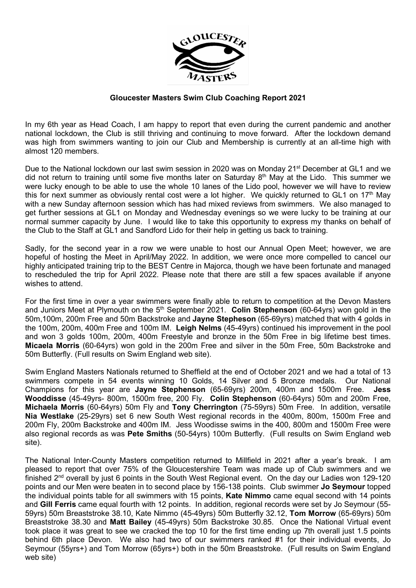

## Gloucester Masters Swim Club Coaching Report 2021

In my 6th year as Head Coach, I am happy to report that even during the current pandemic and another national lockdown, the Club is still thriving and continuing to move forward. After the lockdown demand was high from swimmers wanting to join our Club and Membership is currently at an all-time high with almost 120 members.

Due to the National lockdown our last swim session in 2020 was on Monday 21<sup>st</sup> December at GL1 and we did not return to training until some five months later on Saturday  $8<sup>th</sup>$  May at the Lido. This summer we were lucky enough to be able to use the whole 10 lanes of the Lido pool, however we will have to review this for next summer as obviously rental cost were a lot higher. We quickly returned to GL1 on 17<sup>th</sup> May with a new Sunday afternoon session which has had mixed reviews from swimmers. We also managed to get further sessions at GL1 on Monday and Wednesday evenings so we were lucky to be training at our normal summer capacity by June. I would like to take this opportunity to express my thanks on behalf of the Club to the Staff at GL1 and Sandford Lido for their help in getting us back to training.

Sadly, for the second year in a row we were unable to host our Annual Open Meet; however, we are hopeful of hosting the Meet in April/May 2022. In addition, we were once more compelled to cancel our highly anticipated training trip to the BEST Centre in Majorca, though we have been fortunate and managed to rescheduled the trip for April 2022. Please note that there are still a few spaces available if anyone wishes to attend.

For the first time in over a year swimmers were finally able to return to competition at the Devon Masters and Juniors Meet at Plymouth on the 5<sup>th</sup> September 2021. Colin Stephenson (60-64yrs) won gold in the 50m,100m, 200m Free and 50m Backstroke and Jayne Stepheson (65-69yrs) matched that with 4 golds in the 100m, 200m, 400m Free and 100m IM. Leigh Nelms (45-49yrs) continued his improvement in the pool and won 3 golds 100m, 200m, 400m Freestyle and bronze in the 50m Free in big lifetime best times. Micaela Morris (60-64yrs) won gold in the 200m Free and silver in the 50m Free, 50m Backstroke and 50m Butterfly. (Full results on Swim England web site).

Swim England Masters Nationals returned to Sheffield at the end of October 2021 and we had a total of 13 swimmers compete in 54 events winning 10 Golds, 14 Silver and 5 Bronze medals. Our National Champions for this year are Jayne Stephenson (65-69yrs) 200m, 400m and 1500m Free. Jess Wooddisse (45-49yrs- 800m, 1500m free, 200 Fly. Colin Stephenson (60-64yrs) 50m and 200m Free, Michaela Morris (60-64yrs) 50m Fly and Tony Cherrington (75-59yrs) 50m Free. In addition, versatile Nia Westlake (25-29yrs) set 6 new South West regional records in the 400m, 800m, 1500m Free and 200m Fly, 200m Backstroke and 400m IM. Jess Woodisse swims in the 400, 800m and 1500m Free were also regional records as was Pete Smiths (50-54yrs) 100m Butterfly. (Full results on Swim England web site).

The National Inter-County Masters competition returned to Millfield in 2021 after a year's break. I am pleased to report that over 75% of the Gloucestershire Team was made up of Club swimmers and we finished 2<sup>nd</sup> overall by just 6 points in the South West Regional event. On the day our Ladies won 129-120 points and our Men were beaten in to second place by 156-138 points. Club swimmer **Jo Seymour** topped the individual points table for all swimmers with 15 points, Kate Nimmo came equal second with 14 points and Gill Ferris came equal fourth with 12 points. In addition, regional records were set by Jo Seymour (55- 59yrs) 50m Breaststroke 38.10, Kate Nimmo (45-49yrs) 50m Butterfly 32.12, Tom Morrow (65-69yrs) 50m Breaststroke 38.30 and Matt Bailey (45-49yrs) 50m Backstroke 30.85. Once the National Virtual event took place it was great to see we cracked the top 10 for the first time ending up 7th overall just 1.5 points behind 6th place Devon. We also had two of our swimmers ranked #1 for their individual events, Jo Seymour (55yrs+) and Tom Morrow (65yrs+) both in the 50m Breaststroke. (Full results on Swim England web site)